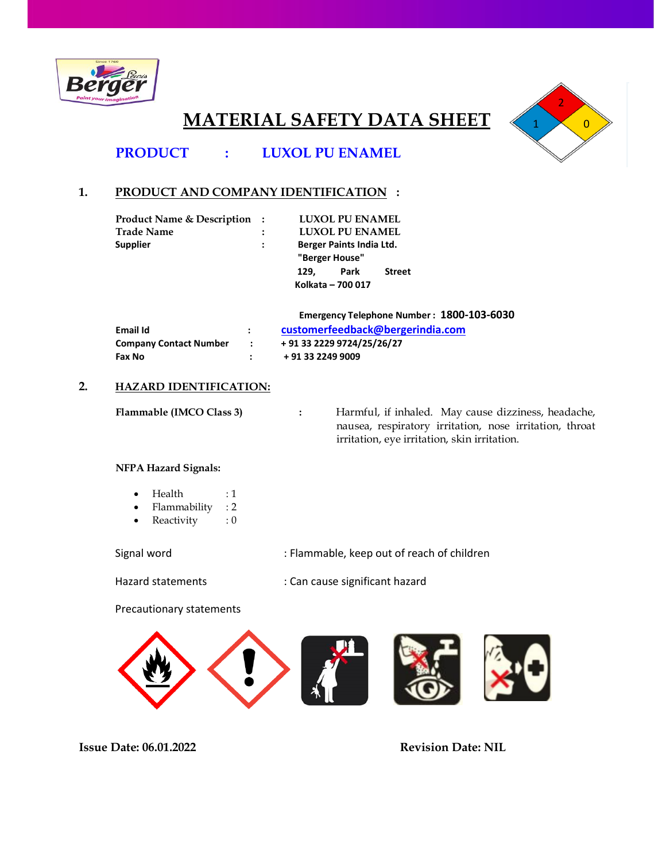

# **MATERIAL SAFETY DATA SHEET**



# **PRODUCT : LUXOL PU ENAMEL**

# **1. PRODUCT AND COMPANY IDENTIFICATION :**

| <b>Product Name &amp; Description:</b> |                      |      | <b>LUXOL PU ENAMEL</b>   |               |
|----------------------------------------|----------------------|------|--------------------------|---------------|
| <b>Trade Name</b>                      | $\ddot{\phantom{a}}$ |      | <b>LUXOL PU ENAMEL</b>   |               |
| <b>Supplier</b>                        | $\ddot{\phantom{0}}$ |      | Berger Paints India Ltd. |               |
|                                        |                      |      | "Berger House"           |               |
|                                        |                      | 129. | Park                     | <b>Street</b> |
|                                        |                      |      | Kolkata - 700 017        |               |

|                        |                   | Emergency Telephone Number: 1800-103-6030 |
|------------------------|-------------------|-------------------------------------------|
| Email Id               | $\mathbf{r}$      | customerfeedback@bergerindia.com          |
| Company Contact Number | $\sim$ 100 $\sim$ | + 91 33 2229 9724/25/26/27                |
| Fax No                 | $\sim$            | + 91 33 2249 9009                         |
|                        |                   |                                           |

# **2. HAZARD IDENTIFICATION:**

**Flammable (IMCO Class 3) :** Harmful, if inhaled. May cause dizziness, headache, nausea, respiratory irritation, nose irritation, throat irritation, eye irritation, skin irritation.

# **NFPA Hazard Signals:**

- $\bullet$  Health : 1
- $\bullet$ Flammability : 2
- $\bullet$ Reactivity  $\cdot \cdot 0$

Signal word **Supplem Commable**, keep out of reach of children

Hazard statements : Can cause significant hazard

Precautionary statements

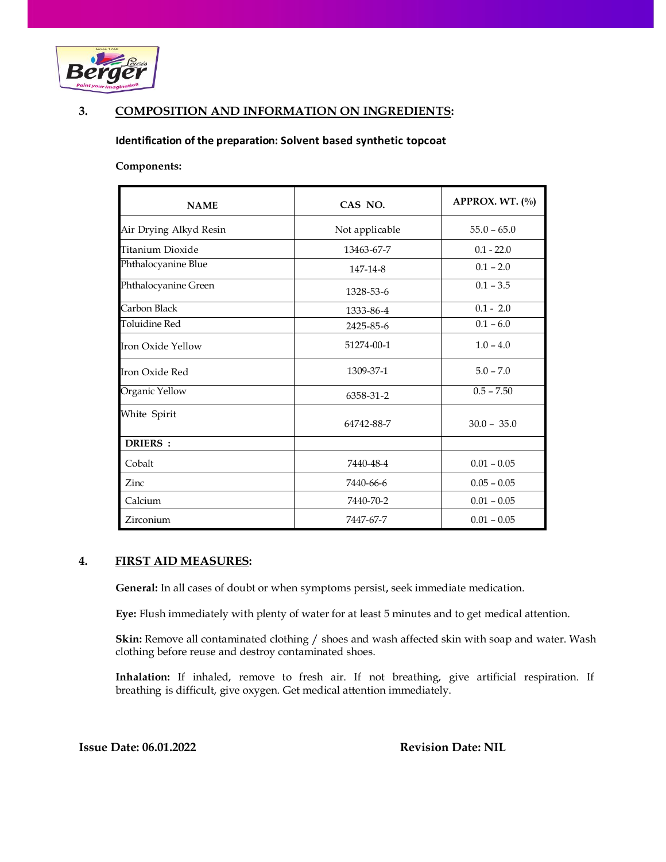

# **3. COMPOSITION AND INFORMATION ON INGREDIENTS:**

#### **Identification of the preparation: Solvent based synthetic topcoat**

#### **Components:**

| <b>NAME</b>            | CAS NO.        | APPROX. WT. (%) |
|------------------------|----------------|-----------------|
| Air Drying Alkyd Resin | Not applicable | $55.0 - 65.0$   |
| Titanium Dioxide       | 13463-67-7     | $0.1 - 22.0$    |
| Phthalocyanine Blue    | 147-14-8       | $0.1 - 2.0$     |
| Phthalocyanine Green   | 1328-53-6      | $0.1 - 3.5$     |
| Carbon Black           | 1333-86-4      | $0.1 - 2.0$     |
| <b>Toluidine Red</b>   | 2425-85-6      | $0.1 - 6.0$     |
| Iron Oxide Yellow      | 51274-00-1     | $1.0 - 4.0$     |
| Iron Oxide Red         | 1309-37-1      | $5.0 - 7.0$     |
| Organic Yellow         | 6358-31-2      | $0.5 - 7.50$    |
| White Spirit           | 64742-88-7     | $30.0 - 35.0$   |
| DRIERS :               |                |                 |
| Cobalt                 | 7440-48-4      | $0.01 - 0.05$   |
| Zinc                   | 7440-66-6      | $0.05 - 0.05$   |
| Calcium                | 7440-70-2      | $0.01 - 0.05$   |
| Zirconium              | 7447-67-7      | $0.01 - 0.05$   |

#### **4. FIRST AID MEASURES:**

**General:** In all cases of doubt or when symptoms persist, seek immediate medication.

**Eye:** Flush immediately with plenty of water for at least 5 minutes and to get medical attention.

**Skin:** Remove all contaminated clothing / shoes and wash affected skin with soap and water. Wash clothing before reuse and destroy contaminated shoes.

**Inhalation:** If inhaled, remove to fresh air. If not breathing, give artificial respiration. If breathing is difficult, give oxygen. Get medical attention immediately.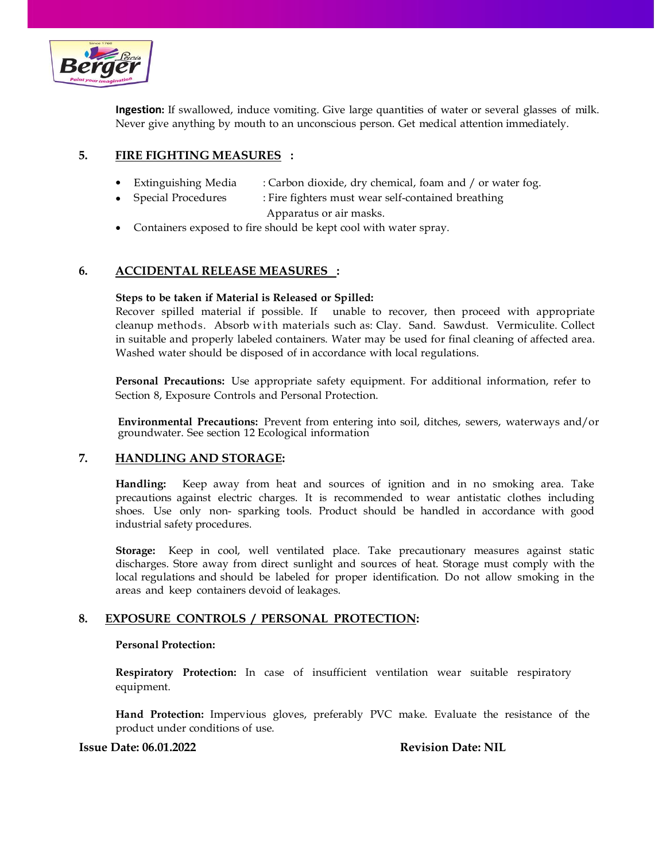

**Ingestion:** If swallowed, induce vomiting. Give large quantities of water or several glasses of milk. Never give anything by mouth to an unconscious person. Get medical attention immediately.

# **5. FIRE FIGHTING MEASURES :**

- Extinguishing Media : Carbon dioxide, dry chemical, foam and / or water fog.
	- Special Procedures : Fire fighters must wear self-contained breathing Apparatus or air masks.
- Containers exposed to fire should be kept cool with water spray.

# **6. ACCIDENTAL RELEASE MEASURES :**

### **Steps to be taken if Material is Released or Spilled:**

Recover spilled material if possible. If unable to recover, then proceed with appropriate cleanup methods. Absorb with materials such as: Clay. Sand. Sawdust. Vermiculite. Collect in suitable and properly labeled containers. Water may be used for final cleaning of affected area. Washed water should be disposed of in accordance with local regulations.

**Personal Precautions:** Use appropriate safety equipment. For additional information, refer to Section 8, Exposure Controls and Personal Protection.

**Environmental Precautions:** Prevent from entering into soil, ditches, sewers, waterways and/or groundwater. See section 12 Ecological information

# **7. HANDLING AND STORAGE:**

**Handling:** Keep away from heat and sources of ignition and in no smoking area. Take precautions against electric charges. It is recommended to wear antistatic clothes including shoes. Use only non- sparking tools. Product should be handled in accordance with good industrial safety procedures.

**Storage:** Keep in cool, well ventilated place. Take precautionary measures against static discharges. Store away from direct sunlight and sources of heat. Storage must comply with the local regulations and should be labeled for proper identification. Do not allow smoking in the areas and keep containers devoid of leakages.

# **8. EXPOSURE CONTROLS / PERSONAL PROTECTION:**

#### **Personal Protection:**

**Respiratory Protection:** In case of insufficient ventilation wear suitable respiratory equipment.

**Hand Protection:** Impervious gloves, preferably PVC make. Evaluate the resistance of the product under conditions of use.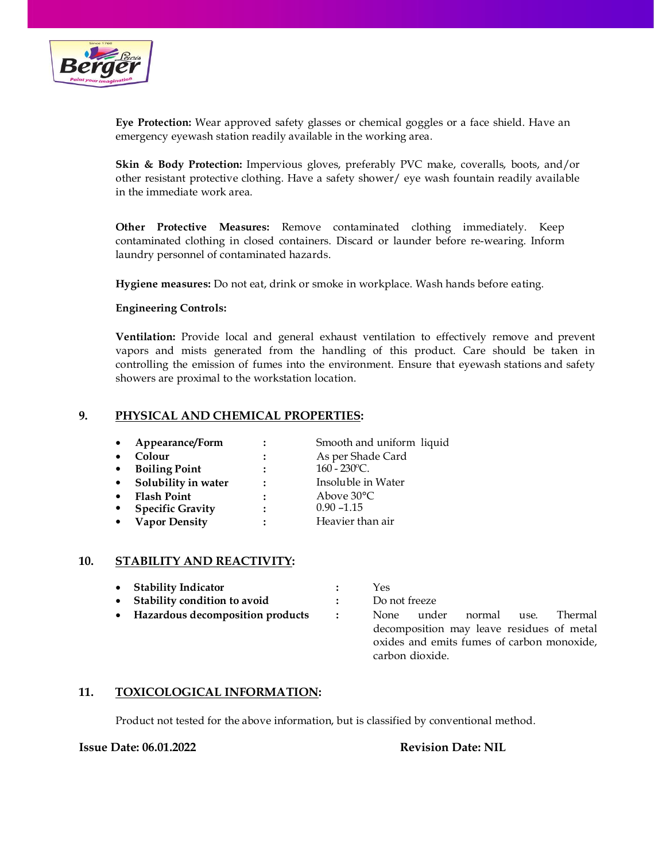

**Eye Protection:** Wear approved safety glasses or chemical goggles or a face shield. Have an emergency eyewash station readily available in the working area.

**Skin & Body Protection:** Impervious gloves, preferably PVC make, coveralls, boots, and/or other resistant protective clothing. Have a safety shower/ eye wash fountain readily available in the immediate work area.

**Other Protective Measures:** Remove contaminated clothing immediately. Keep contaminated clothing in closed containers. Discard or launder before re-wearing. Inform laundry personnel of contaminated hazards.

**Hygiene measures:** Do not eat, drink or smoke in workplace. Wash hands before eating.

#### **Engineering Controls:**

**Ventilation:** Provide local and general exhaust ventilation to effectively remove and prevent vapors and mists generated from the handling of this product. Care should be taken in controlling the emission of fumes into the environment. Ensure that eyewash stations and safety showers are proximal to the workstation location.

### **9. PHYSICAL AND CHEMICAL PROPERTIES:**

| $\bullet$ | Appearance/Form         |                      | Smooth and uniform liquid |
|-----------|-------------------------|----------------------|---------------------------|
| $\bullet$ | Colour                  | $\ddot{\phantom{a}}$ | As per Shade Card         |
| $\bullet$ | <b>Boiling Point</b>    |                      | $160 - 230$ °C.           |
| $\bullet$ | Solubility in water     | $\ddot{\phantom{a}}$ | Insoluble in Water        |
| $\bullet$ | <b>Flash Point</b>      |                      | Above 30°C                |
| $\bullet$ | <b>Specific Gravity</b> |                      | $0.90 - 1.15$             |
| $\bullet$ | <b>Vapor Density</b>    |                      | Heavier than air          |

#### **10. STABILITY AND REACTIVITY:**

| • Stability Indicator              |                      | Yes                                         |  |  |
|------------------------------------|----------------------|---------------------------------------------|--|--|
| • Stability condition to avoid     |                      | Do not freeze                               |  |  |
| • Hazardous decomposition products | $\ddot{\phantom{0}}$ | under normal use.<br>Thermal<br><b>None</b> |  |  |
|                                    |                      | decomposition may leave residues of metal   |  |  |
|                                    |                      | oxides and emits fumes of carbon monoxide,  |  |  |
|                                    |                      | carbon dioxide.                             |  |  |

#### **11. TOXICOLOGICAL INFORMATION:**

Product not tested for the above information, but is classified by conventional method.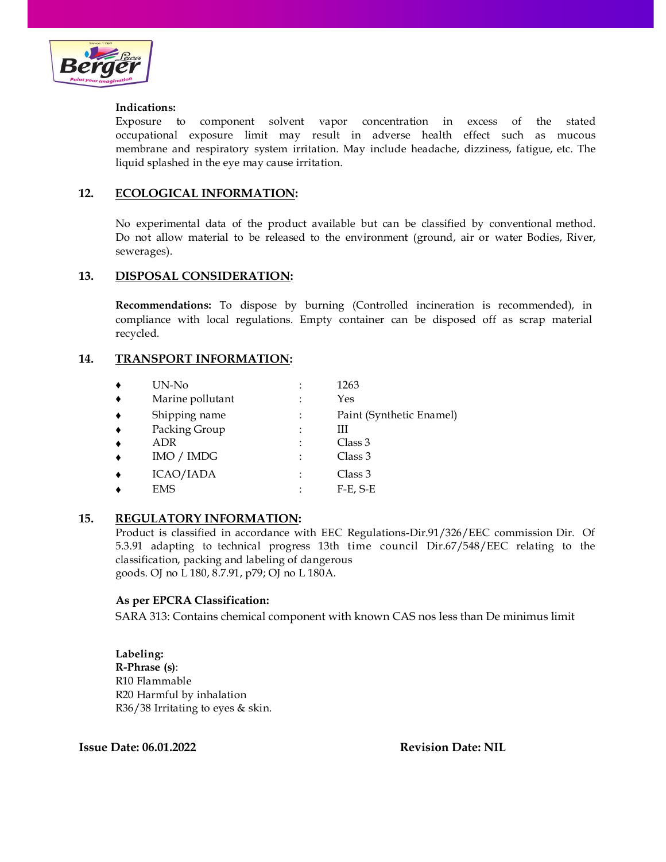

### **Indications:**

Exposure to component solvent vapor concentration in excess of the stated occupational exposure limit may result in adverse health effect such as mucous membrane and respiratory system irritation. May include headache, dizziness, fatigue, etc. The liquid splashed in the eye may cause irritation.

# **12. ECOLOGICAL INFORMATION:**

No experimental data of the product available but can be classified by conventional method. Do not allow material to be released to the environment (ground, air or water Bodies, River, sewerages).

# **13. DISPOSAL CONSIDERATION:**

**Recommendations:** To dispose by burning (Controlled incineration is recommended), in compliance with local regulations. Empty container can be disposed off as scrap material recycled.

# **14. TRANSPORT INFORMATION:**

| UN-No            |   | 1263                     |
|------------------|---|--------------------------|
| Marine pollutant |   | Yes                      |
| Shipping name    |   | Paint (Synthetic Enamel) |
| Packing Group    | ٠ | Ш                        |
| ADR              | ٠ | Class 3                  |
| IMO / IMDG       | ٠ | Class 3                  |
| ICAO/IADA        |   | Class 3                  |
| EMS              |   | $F-E$ , $S-E$            |
|                  |   |                          |

# **15. REGULATORY INFORMATION:**

Product is classified in accordance with EEC Regulations-Dir.91/326/EEC commission Dir. Of 5.3.91 adapting to technical progress 13th time council Dir.67/548/EEC relating to the classification, packing and labeling of dangerous goods. OJ no L 180, 8.7.91, p79; OJ no L 180A.

# **As per EPCRA Classification:**

SARA 313: Contains chemical component with known CAS nos less than De minimus limit

**Labeling: R-Phrase (s)**: R10 Flammable R20 Harmful by inhalation R36/38 Irritating to eyes & skin.